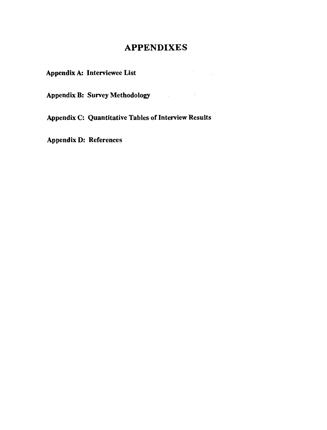# **APPENDIXES**

**Appendix A: Interviewee List** 

**Appendix B: Survey Methodology** 

**Appendix C: Quantitative Tables of Interview Results** 

**Appendix D: References**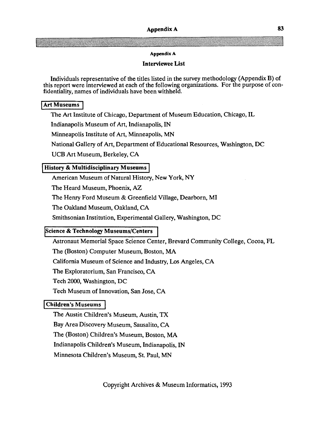### **Appendix A**

## **Interviewee List**

Individuals representative of the titles listed in the survey methodology (Appendix B) of this report were interviewed at each of the following organizations. For the purpose of confidentiality, names of individuals have been withheld.

## **<sup>1</sup>Art Museums <sup>1</sup>**

The Art Institute of Chicago, Department of Museum Education, Chicago, IL

Indianapolis Museum of Art, Indianapolis, IN

Minneapolis Institute of Art, Minneapolis, MN

National Gallery of Art, Department of Educational Resources, Washington, DC

UCB Art Museum, Berkeley, CA

# I **History** & **Multidisciplinary Museums** ]

American Museum of Natural History, New York, NY

The Heard Museum, Phoenix, **AZ** 

The Henry Ford Museum & Greenfield Village, Dearborn, MI

The Oakland Museum, Oakland, CA

Smithsonian Institution, Experimental Gallery, Washington, DC

# **Science** & **Technology Museums/Centers**

Astronaut Memorial Space Science Center, Brevard Community College, Cocoa, FL

The (Boston) Computer Museum, Boston, MA

California Museum of Science and Industry, Los Angeles, CA

The Exploratorium, San Francisco, CA

Tech 2000, Washington, DC

Tech Museum of Innovation, San Jose, CA

# **Children's Museums**

The Austin Children's Museum, Austin, TX

Bay Area Discovery Museum, Sausalito, CA

The (Boston) Children's Museum, Boston, MA

Indianapolis Children's Museum, Indianapolis, IN

Minnesota Children's Museum, St. Paul, MN

Copyright Archives & Museum Informatics, 1993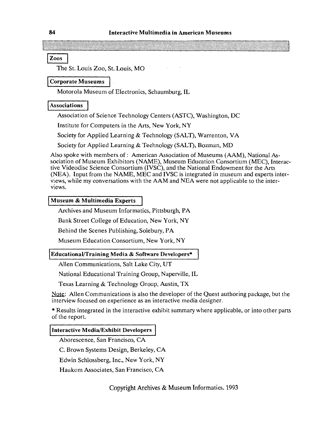# $\begin{array}{c} 84 \\ \hline \end{array}$ <br> $\begin{array}{c} \boxed{\text{Zoos}} \\ \text{The} \end{array}$

The St. Louis Zoo, St. Louis, MO

### **Corporate Museums**

Motorola Museum of Electronics, Schaumburg, IL

### Associations

Association of Science Technology Centers (ASTC), Washington, DC

Institute for Computers in the Arts, New York, NY

Society for Applied Learning & Technology (SALT), Warrenton, VA

Society for Applied Learning & Technology (SALT), Bozman, MD

Also spoke with members of : American Association of Museums (AAM), National Association of Museum Exhibitors (NAME), Museum Education Consortium (MEC), Interactive Videodisc Science Consortium (IVSC), and the National Endowment for the Arts (NEA). Input from the NAME, MEC and IVSC is integrated in museum and experts interviews, while my conversations with the AAM and NEA were not applicable to the interviews.

### **Museum & Multimedia Experts**

Archives and Museum Informatics, Pittsburgh, PA

Bank Street College of Education, New York, NY

Behind the Scenes Publishing, Solebury, PA

Museum Education Consortium, New York, NY

### **EducationaVTraining Media** & **Software Developers\***

Allen Communications, Salt Lake City, UT

National Educational Training Group, Naperville, IL

Texas Learning & Technology Group, Austin, TX

Note: Allen Communications is also the developer of the Quest authoring package, but the interview focused on experience as an interactive media designer.

\* Results integrated in the interactive exhibit summary where applicable, or into other parts of the report.

### **Interactive Media/Exhibit Developers**

Aborescence, San Francisco, CA

C. Brown Systems Design, Berkeley, CA

Edwin Schlossberg, Inc., New York, NY

Haukom Associates, San Francisco, CA

Copyright Archives & Museum Informatics, 1993